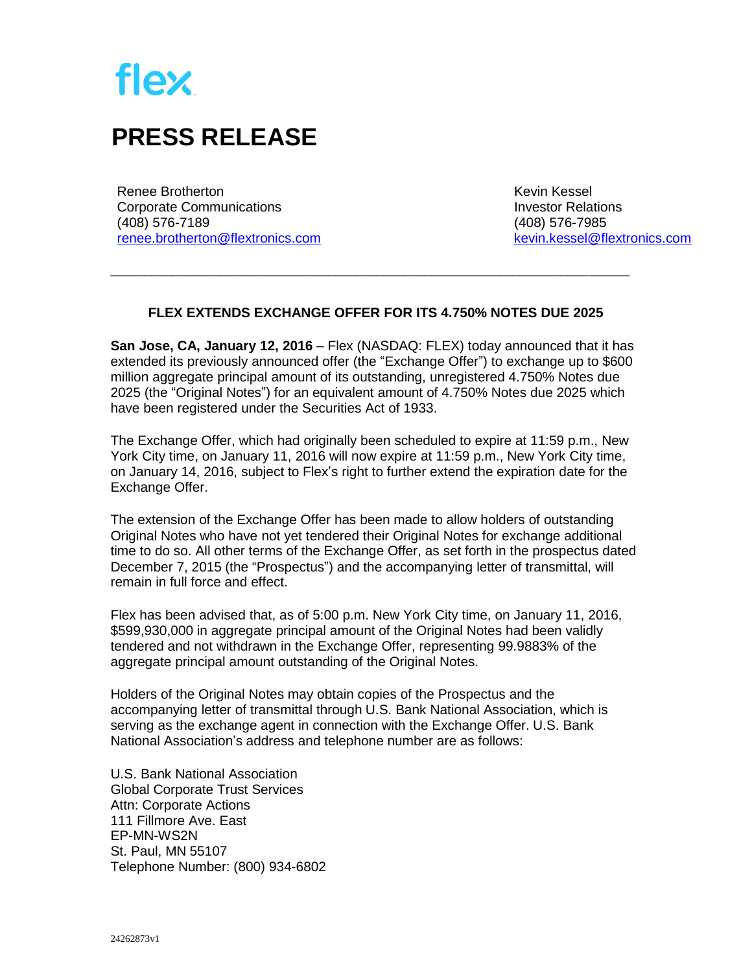

## **PRESS RELEASE**

Renee Brotherton Corporate Communications (408) 576-7189 [renee.brotherton@flextronics.com](mailto:renee.brotherton@flextronics.com)  Kevin Kessel Investor Relations (408) 576-7985 [kevin.kessel@flextronics.com](mailto:kevin.kessel@flextronics.com)

## **FLEX EXTENDS EXCHANGE OFFER FOR ITS 4.750% NOTES DUE 2025**

\_\_\_\_\_\_\_\_\_\_\_\_\_\_\_\_\_\_\_\_\_\_\_\_\_\_\_\_\_\_\_\_\_\_\_\_\_\_\_\_\_\_\_\_\_\_\_\_\_\_\_\_\_\_\_\_\_\_\_\_\_\_\_\_\_\_\_\_\_\_\_\_\_\_\_\_

**San Jose, CA, January 12, 2016** – Flex (NASDAQ: FLEX) today announced that it has extended its previously announced offer (the "Exchange Offer") to exchange up to \$600 million aggregate principal amount of its outstanding, unregistered 4.750% Notes due 2025 (the "Original Notes") for an equivalent amount of 4.750% Notes due 2025 which have been registered under the Securities Act of 1933.

The Exchange Offer, which had originally been scheduled to expire at 11:59 p.m., New York City time, on January 11, 2016 will now expire at 11:59 p.m., New York City time, on January 14, 2016, subject to Flex's right to further extend the expiration date for the Exchange Offer.

The extension of the Exchange Offer has been made to allow holders of outstanding Original Notes who have not yet tendered their Original Notes for exchange additional time to do so. All other terms of the Exchange Offer, as set forth in the prospectus dated December 7, 2015 (the "Prospectus") and the accompanying letter of transmittal, will remain in full force and effect.

Flex has been advised that, as of 5:00 p.m. New York City time, on January 11, 2016, \$599,930,000 in aggregate principal amount of the Original Notes had been validly tendered and not withdrawn in the Exchange Offer, representing 99.9883% of the aggregate principal amount outstanding of the Original Notes.

Holders of the Original Notes may obtain copies of the Prospectus and the accompanying letter of transmittal through U.S. Bank National Association, which is serving as the exchange agent in connection with the Exchange Offer. U.S. Bank National Association's address and telephone number are as follows:

U.S. Bank National Association Global Corporate Trust Services Attn: Corporate Actions 111 Fillmore Ave. East EP-MN-WS2N St. Paul, MN 55107 Telephone Number: (800) 934-6802